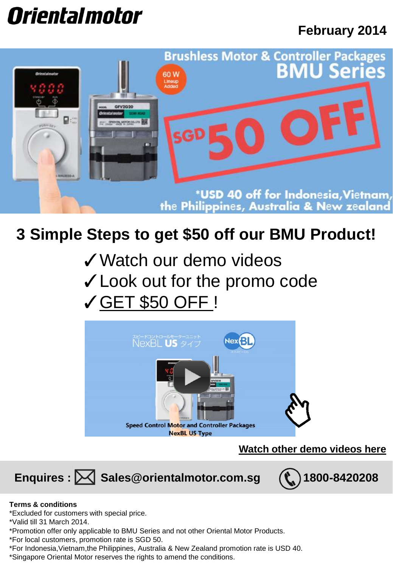# *Orientalmotor*

### **February 2014**



## **3 Simple Steps to get \$50 off our BMU Product!**

- ✓Watch our demo videos
- ✓Look out for the promo code
- ✓GET \$50 OFF !



**Watch other demo videos here**

Enquires :  $\boxtimes$  Sales@orientalmotor.com.sg (t) 1800-8420208



### **Terms & conditions**

\*Excluded for customers with special price.

\*Valid till 31 March 2014.

\*Promotion offer only applicable to BMU Series and not other Oriental Motor Products.

\*For local customers, promotion rate is SGD 50.

\*For Indonesia,Vietnam,the Philippines, Australia & New Zealand promotion rate is USD 40.

\*Singapore Oriental Motor reserves the rights to amend the conditions.